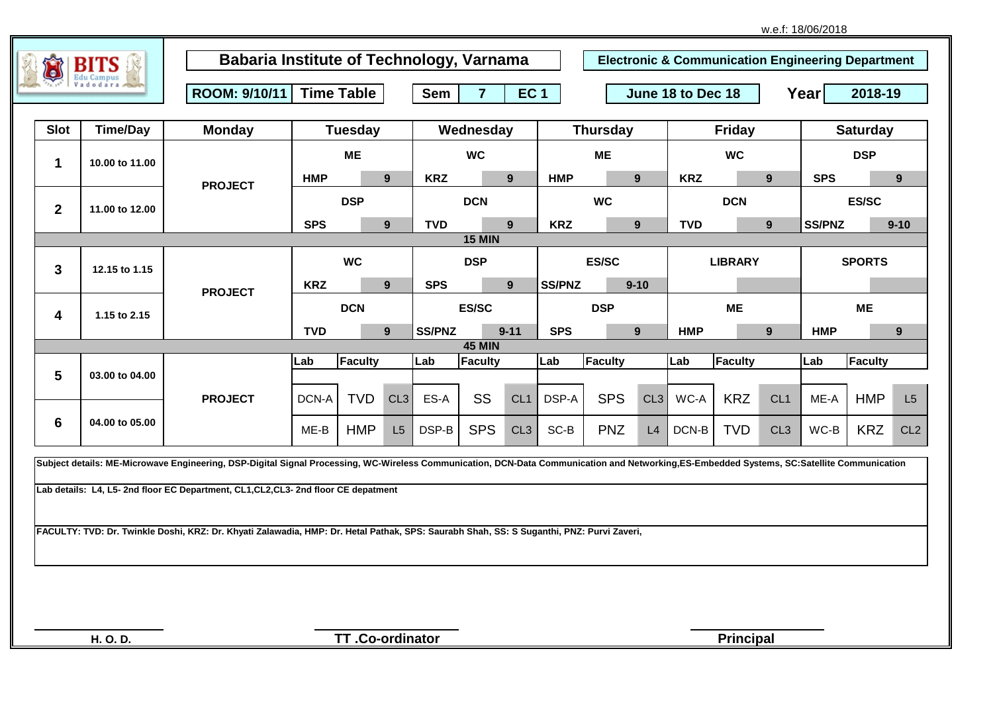|  | w.e.f: 18/06/2018 |  |
|--|-------------------|--|
|--|-------------------|--|

|                |                 | ROOM: 9/10/11                                                                                                                                                                              | <b>Time Table</b> |                |              | <b>Sem</b><br>$\overline{7}$<br><b>EC1</b> |               |                 |            | June 18 to Dec 18 |                |            |                |                    | Year<br>2018-19 |                 |                 |  |
|----------------|-----------------|--------------------------------------------------------------------------------------------------------------------------------------------------------------------------------------------|-------------------|----------------|--------------|--------------------------------------------|---------------|-----------------|------------|-------------------|----------------|------------|----------------|--------------------|-----------------|-----------------|-----------------|--|
| <b>Slot</b>    | <b>Time/Day</b> | <b>Monday</b>                                                                                                                                                                              |                   | <b>Tuesday</b> |              | Wednesday                                  |               |                 |            | <b>Thursday</b>   |                |            | <b>Friday</b>  |                    |                 | <b>Saturday</b> |                 |  |
|                |                 |                                                                                                                                                                                            | <b>ME</b>         |                |              | <b>WC</b>                                  |               |                 |            | <b>ME</b>         |                |            | <b>WC</b>      |                    | <b>DSP</b>      |                 |                 |  |
| 1              | 10.00 to 11.00  |                                                                                                                                                                                            | <b>HMP</b>        |                | 9            | <b>KRZ</b>                                 | 9             |                 | <b>HMP</b> |                   | 9 <sup>°</sup> | <b>KRZ</b> |                | 9                  | <b>SPS</b>      |                 | 9 <sup>°</sup>  |  |
| $\mathbf{2}$   | 11.00 to 12.00  | <b>PROJECT</b>                                                                                                                                                                             | <b>DSP</b>        |                |              | <b>DCN</b>                                 |               |                 | <b>WC</b>  |                   | <b>DCN</b>     |            |                |                    | <b>ES/SC</b>    |                 |                 |  |
|                |                 |                                                                                                                                                                                            | <b>SPS</b>        |                | 9            | <b>TVD</b>                                 |               | 9               | <b>KRZ</b> | 9 <sup>°</sup>    |                | <b>TVD</b> |                | 9<br><b>SS/PNZ</b> |                 | $9 - 10$        |                 |  |
|                |                 |                                                                                                                                                                                            |                   |                |              |                                            | <b>15 MIN</b> |                 |            |                   |                |            |                |                    |                 |                 |                 |  |
| 3              | 12.15 to 1.15   | <b>PROJECT</b>                                                                                                                                                                             |                   | <b>WC</b>      |              | <b>SPS</b>                                 | <b>DSP</b>    |                 |            | <b>ES/SC</b>      |                |            | <b>LIBRARY</b> |                    |                 | <b>SPORTS</b>   |                 |  |
|                | 1.15 to 2.15    |                                                                                                                                                                                            | <b>KRZ</b>        |                | 9            |                                            |               | 9               | SS/PNZ     |                   | $9 - 10$       |            |                |                    |                 |                 |                 |  |
| 4              |                 |                                                                                                                                                                                            | <b>DCN</b>        |                | <b>ES/SC</b> |                                            |               | <b>DSP</b>      |            | <b>ME</b>         |                |            |                | <b>ME</b>          |                 |                 |                 |  |
|                |                 |                                                                                                                                                                                            | <b>TVD</b>        |                | 9            | <b>SS/PNZ</b>                              | <b>45 MIN</b> | $9 - 11$        | <b>SPS</b> |                   | 9 <sup>°</sup> | <b>HMP</b> |                | 9                  | <b>HMP</b>      |                 | 9 <sup>°</sup>  |  |
|                |                 | <b>PROJECT</b>                                                                                                                                                                             | Lab               | <b>Faculty</b> |              | Lab                                        | Faculty       |                 | Lab        | Faculty           |                | Lab        | <b>Faculty</b> |                    | Lab             | Faculty         |                 |  |
| $5\phantom{1}$ | 03.00 to 04.00  |                                                                                                                                                                                            |                   |                |              |                                            |               |                 |            |                   |                |            |                |                    |                 |                 |                 |  |
|                | 04.00 to 05.00  |                                                                                                                                                                                            | DCN-A             | <b>TVD</b>     | CL3          | ES-A                                       | SS            | CL <sub>1</sub> | DSP-A      | <b>SPS</b>        | CL3            | WC-A       | <b>KRZ</b>     | CL <sub>1</sub>    | ME-A            | <b>HMP</b>      | L5              |  |
| 6              |                 |                                                                                                                                                                                            | $ME-B$            | <b>HMP</b>     | L5           | DSP-B                                      | <b>SPS</b>    | CL3             | $SC-B$     | <b>PNZ</b>        | L4             | DCN-B      | <b>TVD</b>     | CL <sub>3</sub>    | $WC-B$          | <b>KRZ</b>      | CL <sub>2</sub> |  |
|                |                 | Subject details: ME-Microwave Engineering, DSP-Digital Signal Processing, WC-Wireless Communication, DCN-Data Communication and Networking,ES-Embedded Systems, SC:Satellite Communication |                   |                |              |                                            |               |                 |            |                   |                |            |                |                    |                 |                 |                 |  |
|                |                 |                                                                                                                                                                                            |                   |                |              |                                            |               |                 |            |                   |                |            |                |                    |                 |                 |                 |  |
|                |                 | Lab details: L4, L5- 2nd floor EC Department, CL1, CL2, CL3- 2nd floor CE depatment                                                                                                        |                   |                |              |                                            |               |                 |            |                   |                |            |                |                    |                 |                 |                 |  |
|                |                 |                                                                                                                                                                                            |                   |                |              |                                            |               |                 |            |                   |                |            |                |                    |                 |                 |                 |  |
|                |                 | FACULTY: TVD: Dr. Twinkle Doshi, KRZ: Dr. Khyati Zalawadia, HMP: Dr. Hetal Pathak, SPS: Saurabh Shah, SS: S Suganthi, PNZ: Purvi Zaveri,                                                   |                   |                |              |                                            |               |                 |            |                   |                |            |                |                    |                 |                 |                 |  |
|                |                 |                                                                                                                                                                                            |                   |                |              |                                            |               |                 |            |                   |                |            |                |                    |                 |                 |                 |  |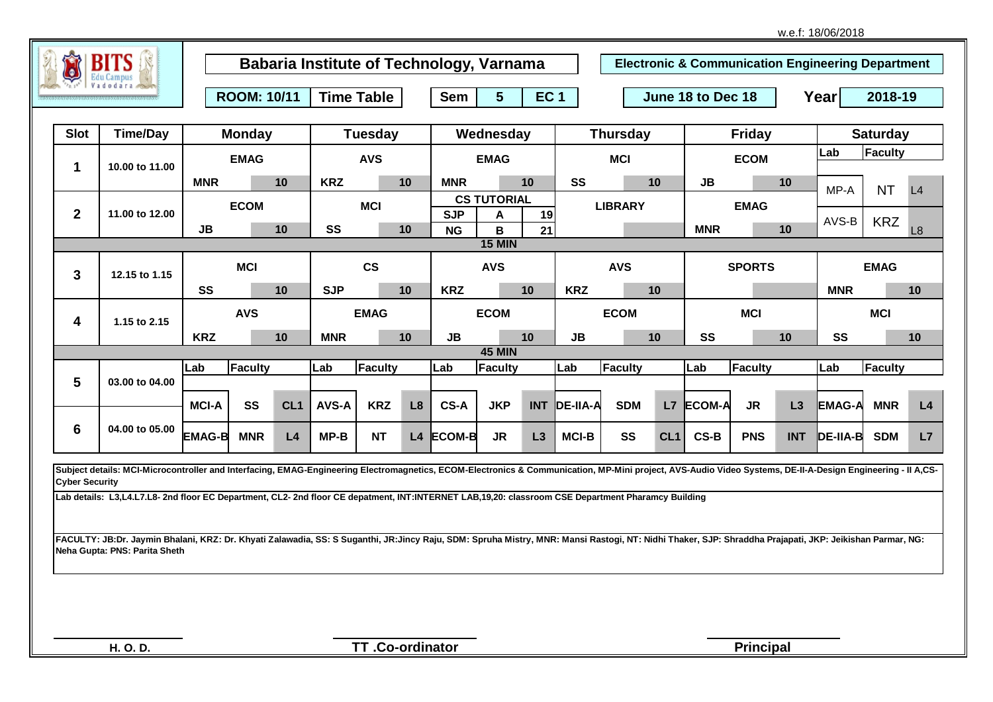|                       |                                                                                                                                                                                                            |                                         |               |                 |                |            |                               | <b>Babaria Institute of Technology, Varnama</b> |                                             |    |                 |                   |                 |            |               |                 | <b>Electronic &amp; Communication Engineering Department</b> |                |                 |  |  |
|-----------------------|------------------------------------------------------------------------------------------------------------------------------------------------------------------------------------------------------------|-----------------------------------------|---------------|-----------------|----------------|------------|-------------------------------|-------------------------------------------------|---------------------------------------------|----|-----------------|-------------------|-----------------|------------|---------------|-----------------|--------------------------------------------------------------|----------------|-----------------|--|--|
|                       |                                                                                                                                                                                                            | <b>Time Table</b><br><b>ROOM: 10/11</b> |               |                 |                |            | <b>Sem</b><br>5<br><b>EC1</b> |                                                 |                                             |    |                 | June 18 to Dec 18 |                 |            |               |                 | Year<br>2018-19                                              |                |                 |  |  |
| <b>Slot</b>           | <b>Time/Day</b>                                                                                                                                                                                            |                                         | <b>Monday</b> |                 | <b>Tuesday</b> |            |                               | Wednesday                                       |                                             |    | <b>Thursday</b> |                   |                 |            | <b>Friday</b> | <b>Saturday</b> |                                                              |                |                 |  |  |
| 1                     | <b>EMAG</b><br>10.00 to 11.00                                                                                                                                                                              |                                         |               |                 | <b>AVS</b>     |            |                               |                                                 | <b>EMAG</b>                                 |    |                 | <b>MCI</b>        |                 |            | <b>ECOM</b>   |                 |                                                              | Faculty<br>Lab |                 |  |  |
|                       |                                                                                                                                                                                                            | <b>MNR</b>                              |               | 10              | <b>KRZ</b>     |            | 10                            | <b>MNR</b>                                      |                                             | 10 | SS              |                   | 10              | JB         |               | 10              | MP-A                                                         | <b>NT</b>      | L4              |  |  |
| $\mathbf{2}$          | 11.00 to 12.00                                                                                                                                                                                             | <b>ECOM</b>                             |               |                 |                | <b>MCI</b> |                               |                                                 | <b>CS TUTORIAL</b><br><b>SJP</b><br>19<br>A |    |                 | <b>LIBRARY</b>    |                 |            | <b>EMAG</b>   |                 |                                                              |                |                 |  |  |
|                       |                                                                                                                                                                                                            | JB                                      |               | 10              | SS             |            | 10                            | <b>NG</b>                                       | B                                           | 21 |                 |                   |                 | <b>MNR</b> |               | 10              | AVS-B                                                        | <b>KRZ</b>     | L8              |  |  |
|                       |                                                                                                                                                                                                            |                                         |               |                 |                |            |                               |                                                 | <b>15 MIN</b>                               |    |                 |                   |                 |            |               |                 |                                                              |                |                 |  |  |
| 3                     | 12.15 to 1.15                                                                                                                                                                                              | <b>MCI</b>                              |               | $\mathsf{cs}$   |                |            |                               | <b>AVS</b>                                      |                                             |    | <b>AVS</b>      |                   | <b>SPORTS</b>   |            |               | <b>EMAG</b>     |                                                              |                |                 |  |  |
|                       |                                                                                                                                                                                                            | SS                                      |               | 10              | <b>SJP</b>     |            | 10                            | <b>KRZ</b>                                      |                                             | 10 | <b>KRZ</b>      |                   | 10              |            |               |                 | <b>MNR</b>                                                   |                | 10 <sup>1</sup> |  |  |
| 4                     | 1.15 to 2.15                                                                                                                                                                                               | <b>AVS</b>                              |               |                 | <b>EMAG</b>    |            |                               |                                                 | <b>ECOM</b>                                 |    |                 | <b>ECOM</b>       |                 |            | <b>MCI</b>    |                 |                                                              | <b>MCI</b>     |                 |  |  |
|                       |                                                                                                                                                                                                            | <b>KRZ</b>                              |               | 10              | <b>MNR</b>     |            | 10                            | JB                                              |                                             | 10 | JB              |                   | 10              | SS         |               | 10              | SS                                                           |                | 10 <sup>1</sup> |  |  |
|                       |                                                                                                                                                                                                            | Lab                                     | Faculty       |                 | Lab            | Faculty    |                               | Lab                                             | <b>45 MIN</b><br>Faculty                    |    | Lab             | <b>Faculty</b>    |                 | Lab        | Faculty       |                 | Lab                                                          | Faculty        |                 |  |  |
| 5                     | 03.00 to 04.00                                                                                                                                                                                             |                                         |               |                 |                |            |                               |                                                 |                                             |    |                 |                   |                 |            |               |                 |                                                              |                |                 |  |  |
|                       |                                                                                                                                                                                                            | <b>MCI-A</b>                            | SS            | CL <sub>1</sub> | <b>AVS-A</b>   | <b>KRZ</b> | L <sub>8</sub>                | CS-A                                            | <b>JKP</b>                                  |    | INT DE-IIA-A    | <b>SDM</b>        |                 | L7 ECOM-A  | <b>JR</b>     | L3              | <b>EMAG-A</b>                                                | <b>MNR</b>     | L4              |  |  |
| 6                     | 04.00 to 05.00                                                                                                                                                                                             | <b>EMAG-B</b>                           | <b>MNR</b>    | L4              | $MP-B$         | <b>NT</b>  |                               | L4 ECOM-B                                       | <b>JR</b>                                   | L3 | <b>MCI-B</b>    | SS                | CL <sub>1</sub> | CS-B       | <b>PNS</b>    | <b>INT</b>      | DE-IIA-B                                                     | <b>SDM</b>     | L7              |  |  |
|                       | Subject details: MCI-Microcontroller and Interfacing, EMAG-Engineering Electromagnetics, ECOM-Electronics & Communication, MP-Mini project, AVS-Audio Video Systems, DE-II-A-Design Engineering - II A,CS- |                                         |               |                 |                |            |                               |                                                 |                                             |    |                 |                   |                 |            |               |                 |                                                              |                |                 |  |  |
| <b>Cyber Security</b> |                                                                                                                                                                                                            |                                         |               |                 |                |            |                               |                                                 |                                             |    |                 |                   |                 |            |               |                 |                                                              |                |                 |  |  |
|                       | Lab details: L3,L4.L7.L8- 2nd floor EC Department, CL2- 2nd floor CE depatment, INT:INTERNET LAB,19,20: classroom CSE Department Pharamcy Building                                                         |                                         |               |                 |                |            |                               |                                                 |                                             |    |                 |                   |                 |            |               |                 |                                                              |                |                 |  |  |
|                       |                                                                                                                                                                                                            |                                         |               |                 |                |            |                               |                                                 |                                             |    |                 |                   |                 |            |               |                 |                                                              |                |                 |  |  |
|                       | FACULTY: JB:Dr. Jaymin Bhalani, KRZ: Dr. Khyati Zalawadia, SS: S Suganthi, JR:Jincy Raju, SDM: Spruha Mistry, MNR: Mansi Rastogi, NT: Nidhi Thaker, SJP: Shraddha Prajapati, JKP: Jeikishan Parmar, NG:    |                                         |               |                 |                |            |                               |                                                 |                                             |    |                 |                   |                 |            |               |                 |                                                              |                |                 |  |  |
|                       | Neha Gupta: PNS: Parita Sheth                                                                                                                                                                              |                                         |               |                 |                |            |                               |                                                 |                                             |    |                 |                   |                 |            |               |                 |                                                              |                |                 |  |  |

**TT .Co-ordinator**